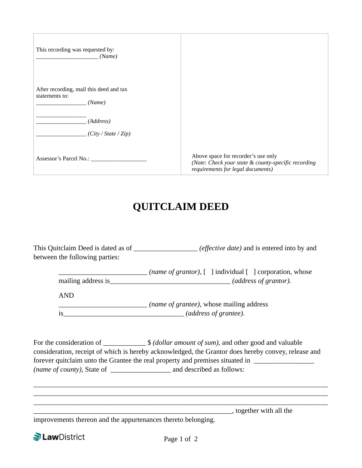| This recording was requested by:<br>(Name)                          |                                                                                                                                 |
|---------------------------------------------------------------------|---------------------------------------------------------------------------------------------------------------------------------|
| After recording, mail this deed and tax<br>statements to:<br>(Name) |                                                                                                                                 |
| (Address)<br>(City / State / Zip)                                   |                                                                                                                                 |
| Assessor's Parcel No.:                                              | Above space for recorder's use only<br>(Note: Check your state & county-specific recording<br>requirements for legal documents) |

## **QUITCLAIM DEED**

This Quitclaim Deed is dated as of \_\_\_\_\_\_\_\_\_\_\_\_\_\_\_\_\_\_ *(effective date)* and is entered into by and between the following parties:

|                                                   | ( <i>name of grantor</i> ), [ ] individual [ ] corporation, whose |
|---------------------------------------------------|-------------------------------------------------------------------|
| mailing address is                                | (address of grantor).                                             |
|                                                   |                                                                   |
| <b>AND</b>                                        |                                                                   |
| ( <i>name of grantee</i> ), whose mailing address |                                                                   |

is\_\_\_\_\_\_\_\_\_\_\_\_\_\_\_\_\_\_\_\_\_\_\_\_\_\_\_\_\_\_\_\_\_\_ *(address of grantee)*.

For the consideration of \_\_\_\_\_\_\_\_\_\_\_\_\_ \$ *(dollar amount of sum)*, and other good and valuable consideration, receipt of which is hereby acknowledged, the Grantor does hereby convey, release and forever quitclaim unto the Grantee the real property and premises situated in *\_\_\_\_\_\_\_\_\_\_\_\_\_\_\_\_\_ (name of county),* State of *\_\_\_\_\_\_\_\_\_\_\_\_\_\_\_\_\_* and described as follows:

\_\_\_\_\_\_\_\_\_\_\_\_\_\_\_\_\_\_\_\_\_\_\_\_\_\_\_\_\_\_\_\_\_\_\_\_\_\_\_\_\_\_\_\_\_\_\_\_\_\_\_\_\_\_\_\_\_\_\_\_\_\_\_\_\_\_\_\_\_\_\_\_\_\_\_\_\_\_\_\_\_\_\_ \_\_\_\_\_\_\_\_\_\_\_\_\_\_\_\_\_\_\_\_\_\_\_\_\_\_\_\_\_\_\_\_\_\_\_\_\_\_\_\_\_\_\_\_\_\_\_\_\_\_\_\_\_\_\_\_\_\_\_\_\_\_\_\_\_\_\_\_\_\_\_\_\_\_\_\_\_\_\_\_\_\_\_ \_\_\_\_\_\_\_\_\_\_\_\_\_\_\_\_\_\_\_\_\_\_\_\_\_\_\_\_\_\_\_\_\_\_\_\_\_\_\_\_\_\_\_\_\_\_\_\_\_\_\_\_\_\_\_\_\_\_\_\_\_\_\_\_\_\_\_\_\_\_\_\_\_\_\_\_\_\_\_\_\_\_\_

\_\_\_\_\_\_\_\_\_\_\_\_\_\_\_\_\_\_\_\_\_\_\_\_\_\_\_\_\_\_\_\_\_\_\_\_\_\_\_\_\_\_\_\_\_\_\_\_\_\_\_\_\_\_\_\_, together with all the

improvements thereon and the appurtenances thereto belonging.